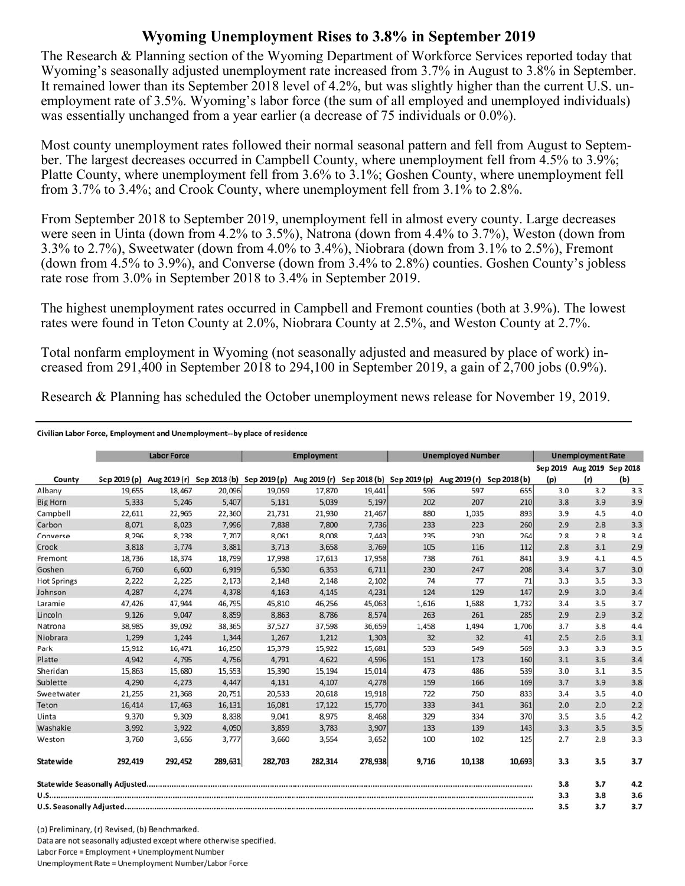## **Wyoming Unemployment Rises to 3.8% in September 2019**

The Research & Planning section of the Wyoming Department of Workforce Services reported today that Wyoming's seasonally adjusted unemployment rate increased from 3.7% in August to 3.8% in September. It remained lower than its September 2018 level of 4.2%, but was slightly higher than the current U.S. unemployment rate of 3.5%. Wyoming's labor force (the sum of all employed and unemployed individuals) was essentially unchanged from a year earlier (a decrease of 75 individuals or 0.0%).

Most county unemployment rates followed their normal seasonal pattern and fell from August to September. The largest decreases occurred in Campbell County, where unemployment fell from 4.5% to 3.9%; Platte County, where unemployment fell from 3.6% to 3.1%; Goshen County, where unemployment fell from 3.7% to 3.4%; and Crook County, where unemployment fell from 3.1% to 2.8%.

From September 2018 to September 2019, unemployment fell in almost every county. Large decreases were seen in Uinta (down from 4.2% to 3.5%), Natrona (down from 4.4% to 3.7%), Weston (down from 3.3% to 2.7%), Sweetwater (down from 4.0% to 3.4%), Niobrara (down from 3.1% to 2.5%), Fremont (down from 4.5% to 3.9%), and Converse (down from 3.4% to 2.8%) counties. Goshen County's jobless rate rose from 3.0% in September 2018 to 3.4% in September 2019.

The highest unemployment rates occurred in Campbell and Fremont counties (both at 3.9%). The lowest rates were found in Teton County at 2.0%, Niobrara County at 2.5%, and Weston County at 2.7%.

Total nonfarm employment in Wyoming (not seasonally adjusted and measured by place of work) increased from 291,400 in September 2018 to 294,100 in September 2019, a gain of  $2,700$  jobs (0.9%).

Research & Planning has scheduled the October unemployment news release for November 19, 2019.

## Civilian Labor Force, Employment and Unemployment--by place of residence

|                    | <b>Labor Force</b> |         |                                                                                            | <b>Employment</b> |         |         | <b>Unemployed Number</b> |        |              | <b>Unemployment Rate</b> |                                   |     |
|--------------------|--------------------|---------|--------------------------------------------------------------------------------------------|-------------------|---------|---------|--------------------------|--------|--------------|--------------------------|-----------------------------------|-----|
| County             | Sep 2019 (p)       |         | Aug 2019 (r) Sep 2018 (b) Sep 2019 (p) Aug 2019 (r) Sep 2018 (b) Sep 2019 (p) Aug 2019 (r) |                   |         |         |                          |        | Sep 2018 (b) | (p)                      | Sep 2019 Aug 2019 Sep 2018<br>(r) | (b) |
| Albany             | 19.655             | 18,467  | 20,096                                                                                     | 19.059            | 17,870  | 19,441  | 596                      | 597    | 655          | 3.0                      | 3.2                               | 3.3 |
| <b>Big Horn</b>    | 5.333              | 5,246   | 5,407                                                                                      | 5,131             | 5,039   | 5,197   | 202                      | 207    | 210          | 3.8                      | 3.9                               | 3.9 |
| Campbell           | 22,611             | 22,965  | 22,360                                                                                     | 21,731            | 21,930  | 21,467  | 880                      | 1,035  | 893          | 3.9                      | 4.5                               | 4.0 |
| Carbon             | 8,071              | 8,023   | 7,996                                                                                      | 7,838             | 7,800   | 7,736   | 233                      | 223    | 260          | 2.9                      | 2.8                               | 3.3 |
| Converse           | 8,296              | 8,238   | 7,707                                                                                      | 8,061             | 8,008   | 7,443   | 235                      | 230    | 264          | 2.8                      | 2.8                               | 3.4 |
| Crook              | 3,818              | 3,774   | 3,881                                                                                      | 3,713             | 3,658   | 3,769   | 105                      | 116    | 112          | 2.8                      | 3.1                               | 2.9 |
| Fremont            | 18.736             | 18,374  | 18,799                                                                                     | 17,998            | 17,613  | 17,958  | 738                      | 761    | 841          | 3.9                      | 4.1                               | 4.5 |
| Goshen             | 6,760              | 6,600   | 6,919                                                                                      | 6,530             | 6,353   | 6,711   | 230                      | 247    | 208          | 3.4                      | 3.7                               | 3.0 |
| <b>Hot Springs</b> | 2,222              | 2,225   | 2,173                                                                                      | 2,148             | 2,148   | 2,102   | 74                       | 77     | 71           | 3.3                      | 3.5                               | 3.3 |
| Johnson            | 4,287              | 4,274   | 4,378                                                                                      | 4,163             | 4,145   | 4,231   | 124                      | 129    | 147          | 2.9                      | 3.0                               | 3.4 |
| Laramie            | 47,426             | 47.944  | 46,795                                                                                     | 45,810            | 46,256  | 45,063  | 1,616                    | 1,688  | 1,732        | 3.4                      | 3.5                               | 3.7 |
| Lincoln            | 9,126              | 9,047   | 8,859                                                                                      | 8,863             | 8,786   | 8,574   | 263                      | 261    | 285          | 2.9                      | 2.9                               | 3.2 |
| Natrona            | 38,985             | 39,092  | 38,365                                                                                     | 37,527            | 37,598  | 36,659  | 1,458                    | 1,494  | 1,706        | 3.7                      | 3.8                               | 4.4 |
| Niobrara           | 1,299              | 1,244   | 1,344                                                                                      | 1,267             | 1,212   | 1,303   | 32                       | 32     | 41           | 2.5                      | 2.6                               | 3.1 |
| Park               | 15,912             | 16,471  | 16,250                                                                                     | 15,379            | 15,922  | 15,681  | 533                      | 549    | 569          | 3.3                      | 3.3                               | 3.5 |
| Platte             | 4,942              | 4,795   | 4,756                                                                                      | 4,791             | 4,622   | 4,596   | 151                      | 173    | 160          | 3.1                      | 3.6                               | 3.4 |
| Sheridan           | 15,863             | 15,680  | 15,553                                                                                     | 15,390            | 15,194  | 15,014  | 473                      | 486    | 539          | 3.0                      | 3.1                               | 3.5 |
| Sublette           | 4,290              | 4,273   | 4,447                                                                                      | 4,131             | 4,107   | 4,278   | 159                      | 166    | 169          | 3.7                      | 3.9                               | 3.8 |
| Sweetwater         | 21,255             | 21,368  | 20,751                                                                                     | 20,533            | 20,618  | 19,918  | 722                      | 750    | 833          | 3.4                      | 3.5                               | 4.0 |
| Teton              | 16,414             | 17,463  | 16,131                                                                                     | 16,081            | 17,122  | 15,770  | 333                      | 341    | 361          | 2.0                      | 2.0                               | 2.2 |
| Uinta              | 9,370              | 9,309   | 8,838                                                                                      | 9,041             | 8,975   | 8,468   | 329                      | 334    | 370          | 3.5                      | 3.6                               | 4.2 |
| Washakie           | 3,992              | 3,922   | 4,050                                                                                      | 3,859             | 3,783   | 3,907   | 133                      | 139    | 143          | 3.3                      | 3.5                               | 3.5 |
| Weston             | 3,760              | 3,656   | 3,777                                                                                      | 3,660             | 3,554   | 3,652   | 100                      | 102    | 125          | 2.7                      | 2.8                               | 3.3 |
| <b>Statewide</b>   | 292,419            | 292,452 | 289,631                                                                                    | 282,703           | 282,314 | 278,938 | 9,716                    | 10,138 | 10,693       | 3.3                      | 3.5                               | 3.7 |
|                    |                    |         |                                                                                            |                   |         |         |                          |        |              | 3.8                      | 3.7                               | 4.2 |
|                    |                    |         |                                                                                            |                   |         |         |                          | 3.3    | 3.8          | 3.6                      |                                   |     |
|                    |                    |         |                                                                                            |                   |         |         | 3.5                      | 3.7    | 3.7          |                          |                                   |     |

(p) Preliminary, (r) Revised, (b) Benchmarked. Data are not seasonally adjusted except where otherwise specified. Labor Force = Employment + Unemployment Number Unemployment Rate = Unemployment Number/Labor Force